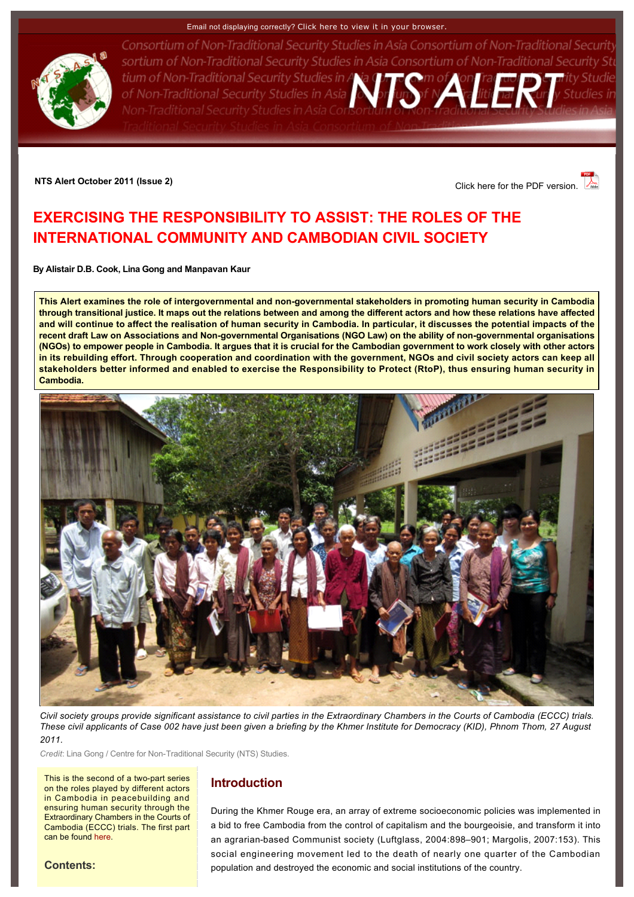#### Email not displaying correctly? [Click here to view it in your browser.](http://www.rsis.edu.sg/nts/html-newsletter/alert/nts-alert-oct-1102.html)



Consortium of Non-Traditional Security Studies in Asia Consortium of Non-Traditional Security sortium of Non-Traditional Security Studies in Asia Consortium of Non-Traditional Security Stu tium of Non-Traditional Security Studies in A and Traditional Security Studies in A and Traditional Security Studies in Asia Consortium of Non-Traditional Security Studies in Asia Constantino f Non-Traditional Security Stu Non-Traditional Security Studies in Asia Con:

**NTS Alert October 2011 (Issue 2)** Click here for the PDF version.

# <span id="page-0-0"></span>**EXERCISING THE RESPONSIBILITY TO ASSIST: THE ROLES OF THE INTERNATIONAL COMMUNITY AND CAMBODIAN CIVIL SOCIETY**

**By [Alistair D.B. Cook,](http://www.rsis.edu.sg/nts/people.asp?sid=63&prev=people) [Lina Gong](http://www.rsis.edu.sg/nts/people.asp?sid=71&prev=people) and [Manpavan Kaur](http://www.rsis.edu.sg/nts/people.asp?sid=73&prev=people)**

**This Alert examines the role of intergovernmental and nongovernmental stakeholders in promoting human security in Cambodia through transitional justice. It maps out the relations between and among the different actors and how these relations have affected and will continue to affect the realisation of human security in Cambodia. In particular, it discusses the potential impacts of the**  recent draft Law on Associations and Non-governmental Organisations (NGO Law) on the ability of non-governmental organisations **(NGOs) to empower people in Cambodia. It argues that it is crucial for the Cambodian government to work closely with other actors in its rebuilding effort. Through cooperation and coordination with the government, NGOs and civil society actors can keep all stakeholders better informed and enabled to exercise the Responsibility to Protect (RtoP), thus ensuring human security in Cambodia.**



*Civil society groups provide significant assistance to civil parties in the Extraordinary Chambers in the Courts of Cambodia (ECCC) trials. These civil applicants of Case 002 have just been given a briefing by the Khmer Institute for Democracy (KID), Phnom Thom, 27 August 2011.*

*Credit: Lina Gong / Centre for Non-Traditional Security (NTS) Studies.* 

This is the second of a two-part series on the roles played by different actors in Cambodia in peacebuilding and ensuring human security through the Extraordinary Chambers in the Courts of Cambodia (ECCC) trials. The first part can be found [here.](http://www.rsis.edu.sg/nts/html-newsletter/alert/nts-alert-oct-1101.html)

# **Introduction**

During the Khmer Rouge era, an array of extreme socioeconomic policies was implemented in a bid to free Cambodia from the control of capitalism and the bourgeoisie, and transform it into an agrarian-based Communist society (Luftglass, 2004:898–901; Margolis, 2007:153). This social engineering movement led to the death of nearly one quarter of the Cambodian population and destroyed the economic and social institutions of the country.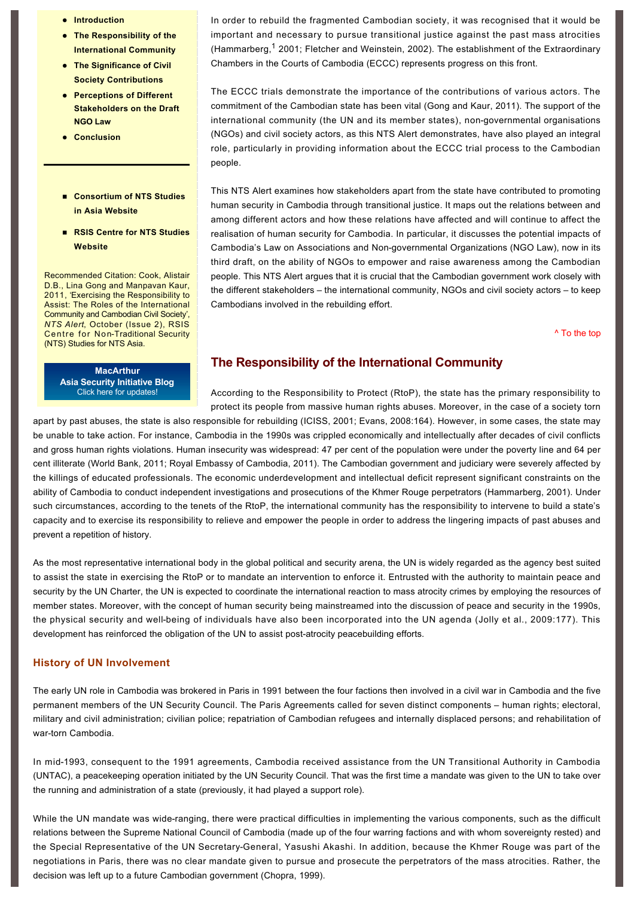- $\bullet$  [Introduction](http://www.rsis.edu.sg/nts/html-newsletter/alert/nts-alert-oct-1102.html#Intro)
- **The Responsibility of the International Community**
- **The Significance of Civil Society Contributions**
- **Perceptions of Different [Stakeholders on the Draft](http://www.rsis.edu.sg/nts/html-newsletter/alert/nts-alert-oct-1102.html#Perceptions)  NGO Law**
- **e** [Conclusion](http://www.rsis.edu.sg/nts/html-newsletter/alert/nts-alert-oct-1102.html#Conclusion)
- n **[Consortium of NTS Studies](http://www.rsis-ntsasia.org/index.html)  in Asia Website**
- RSIS Centre for NTS Studies **Website**

Recommended Citation: Cook, Alistair D.B., Lina Gong and Manpavan Kaur, 2011, 'Exercising the Responsibility to Assist: The Roles of the International Community and Cambodian Civil Society', *NTS Alert*, October (Issue 2), RSIS **Centre for Non-Traditional Security** (NTS) Studies for NTS Asia.

> **MacArthur [Asia Security Initiative Blog](http://www.asicluster3.com/blog_self/index.php)** Click here for updates!

In order to rebuild the fragmented Cambodian society, it was recognised that it would be important and necessary to pursue transitional justice against the past mass atrocities (Hammarberg,  $1$  2001; Fletcher and Weinstein, 2002). The establishment of the Extraordinary Chambers in the Courts of Cambodia (ECCC) represents progress on this front.

The ECCC trials demonstrate the importance of the contributions of various actors. The commitment of the Cambodian state has been vital (Gong and Kaur, 2011). The support of the international community (the UN and its member states), non-governmental organisations (NGOs) and civil society actors, as this NTS Alert demonstrates, have also played an integral role, particularly in providing information about the ECCC trial process to the Cambodian people.

This NTS Alert examines how stakeholders apart from the state have contributed to promoting human security in Cambodia through transitional justice. It maps out the relations between and among different actors and how these relations have affected and will continue to affect the realisation of human security for Cambodia. In particular, it discusses the potential impacts of Cambodia's Law on Associations and Non-governmental Organizations (NGO Law), now in its third draft, on the ability of NGOs to empower and raise awareness among the Cambodian people. This NTS Alert argues that it is crucial that the Cambodian government work closely with the different stakeholders – the international community, NGOs and civil society actors – to keep Cambodians involved in the rebuilding effort.

[^ To the top](#page-0-0)

# **The Responsibility of the International Community**

According to the Responsibility to Protect (RtoP), the state has the primary responsibility to protect its people from massive human rights abuses. Moreover, in the case of a society torn

apart by past abuses, the state is also responsible for rebuilding (ICISS, 2001; Evans, 2008:164). However, in some cases, the state may be unable to take action. For instance, Cambodia in the 1990s was crippled economically and intellectually after decades of civil conflicts and gross human rights violations. Human insecurity was widespread: 47 per cent of the population were under the poverty line and 64 per cent illiterate (World Bank, 2011; Royal Embassy of Cambodia, 2011). The Cambodian government and judiciary were severely affected by the killings of educated professionals. The economic underdevelopment and intellectual deficit represent significant constraints on the ability of Cambodia to conduct independent investigations and prosecutions of the Khmer Rouge perpetrators (Hammarberg, 2001). Under such circumstances, according to the tenets of the RtoP, the international community has the responsibility to intervene to build a state's capacity and to exercise its responsibility to relieve and empower the people in order to address the lingering impacts of past abuses and prevent a repetition of history.

As the most representative international body in the global political and security arena, the UN is widely regarded as the agency best suited to assist the state in exercising the RtoP or to mandate an intervention to enforce it. Entrusted with the authority to maintain peace and security by the UN Charter, the UN is expected to coordinate the international reaction to mass atrocity crimes by employing the resources of member states. Moreover, with the concept of human security being mainstreamed into the discussion of peace and security in the 1990s, the physical security and well-being of individuals have also been incorporated into the UN agenda (Jolly et al., 2009:177). This development has reinforced the obligation of the UN to assist post-atrocity peacebuilding efforts.

### **History of UN Involvement**

The early UN role in Cambodia was brokered in Paris in 1991 between the four factions then involved in a civil war in Cambodia and the five permanent members of the UN Security Council. The Paris Agreements called for seven distinct components – human rights; electoral, military and civil administration; civilian police; repatriation of Cambodian refugees and internally displaced persons; and rehabilitation of war-torn Cambodia.

In mid-1993, consequent to the 1991 agreements, Cambodia received assistance from the UN Transitional Authority in Cambodia (UNTAC), a peacekeeping operation initiated by the UN Security Council. That was the first time a mandate was given to the UN to take over the running and administration of a state (previously, it had played a support role).

While the UN mandate was wide-ranging, there were practical difficulties in implementing the various components, such as the difficult relations between the Supreme National Council of Cambodia (made up of the four warring factions and with whom sovereignty rested) and the Special Representative of the UN Secretary-General, Yasushi Akashi. In addition, because the Khmer Rouge was part of the negotiations in Paris, there was no clear mandate given to pursue and prosecute the perpetrators of the mass atrocities. Rather, the decision was left up to a future Cambodian government (Chopra, 1999).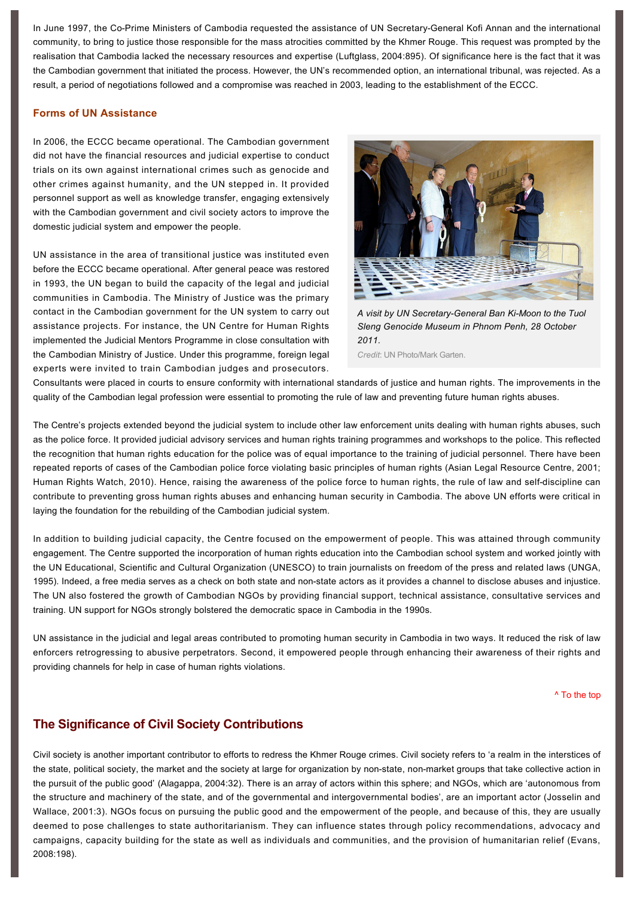In June 1997, the Co-Prime Ministers of Cambodia requested the assistance of UN Secretary-General Kofi Annan and the international community, to bring to justice those responsible for the mass atrocities committed by the Khmer Rouge. This request was prompted by the realisation that Cambodia lacked the necessary resources and expertise (Luftglass, 2004:895). Of significance here is the fact that it was the Cambodian government that initiated the process. However, the UN's recommended option, an international tribunal, was rejected. As a result, a period of negotiations followed and a compromise was reached in 2003, leading to the establishment of the ECCC.

### **Forms of UN Assistance**

In 2006, the ECCC became operational. The Cambodian government did not have the financial resources and judicial expertise to conduct trials on its own against international crimes such as genocide and other crimes against humanity, and the UN stepped in. It provided personnel support as well as knowledge transfer, engaging extensively with the Cambodian government and civil society actors to improve the domestic judicial system and empower the people.

UN assistance in the area of transitional justice was instituted even before the ECCC became operational. After general peace was restored in 1993, the UN began to build the capacity of the legal and judicial communities in Cambodia. The Ministry of Justice was the primary contact in the Cambodian government for the UN system to carry out assistance projects. For instance, the UN Centre for Human Rights implemented the Judicial Mentors Programme in close consultation with the Cambodian Ministry of Justice. Under this programme, foreign legal experts were invited to train Cambodian judges and prosecutors.



A visit by UN Secretary-General Ban Ki-Moon to the Tuol *Sleng Genocide Museum in Phnom Penh, 28 October 2011.*

*Credit*: UN Photo/Mark Garten.

Consultants were placed in courts to ensure conformity with international standards of justice and human rights. The improvements in the quality of the Cambodian legal profession were essential to promoting the rule of law and preventing future human rights abuses.

The Centre's projects extended beyond the judicial system to include other law enforcement units dealing with human rights abuses, such as the police force. It provided judicial advisory services and human rights training programmes and workshops to the police. This reflected the recognition that human rights education for the police was of equal importance to the training of judicial personnel. There have been repeated reports of cases of the Cambodian police force violating basic principles of human rights (Asian Legal Resource Centre, 2001; Human Rights Watch, 2010). Hence, raising the awareness of the police force to human rights, the rule of law and self-discipline can contribute to preventing gross human rights abuses and enhancing human security in Cambodia. The above UN efforts were critical in laying the foundation for the rebuilding of the Cambodian judicial system.

In addition to building judicial capacity, the Centre focused on the empowerment of people. This was attained through community engagement. The Centre supported the incorporation of human rights education into the Cambodian school system and worked jointly with the UN Educational, Scientific and Cultural Organization (UNESCO) to train journalists on freedom of the press and related laws (UNGA, 1995). Indeed, a free media serves as a check on both state and non-state actors as it provides a channel to disclose abuses and injustice. The UN also fostered the growth of Cambodian NGOs by providing financial support, technical assistance, consultative services and training. UN support for NGOs strongly bolstered the democratic space in Cambodia in the 1990s.

UN assistance in the judicial and legal areas contributed to promoting human security in Cambodia in two ways. It reduced the risk of law enforcers retrogressing to abusive perpetrators. Second, it empowered people through enhancing their awareness of their rights and providing channels for help in case of human rights violations.

[^ To the top](#page-0-0)

## **The Significance of Civil Society Contributions**

Civil society is another important contributor to efforts to redress the Khmer Rouge crimes. Civil society refers to 'a realm in the interstices of the state, political society, the market and the society at large for organization by non-state, non-market groups that take collective action in the pursuit of the public good' (Alagappa, 2004:32). There is an array of actors within this sphere; and NGOs, which are 'autonomous from the structure and machinery of the state, and of the governmental and intergovernmental bodies', are an important actor (Josselin and Wallace, 2001:3). NGOs focus on pursuing the public good and the empowerment of the people, and because of this, they are usually deemed to pose challenges to state authoritarianism. They can influence states through policy recommendations, advocacy and campaigns, capacity building for the state as well as individuals and communities, and the provision of humanitarian relief (Evans, 2008:198).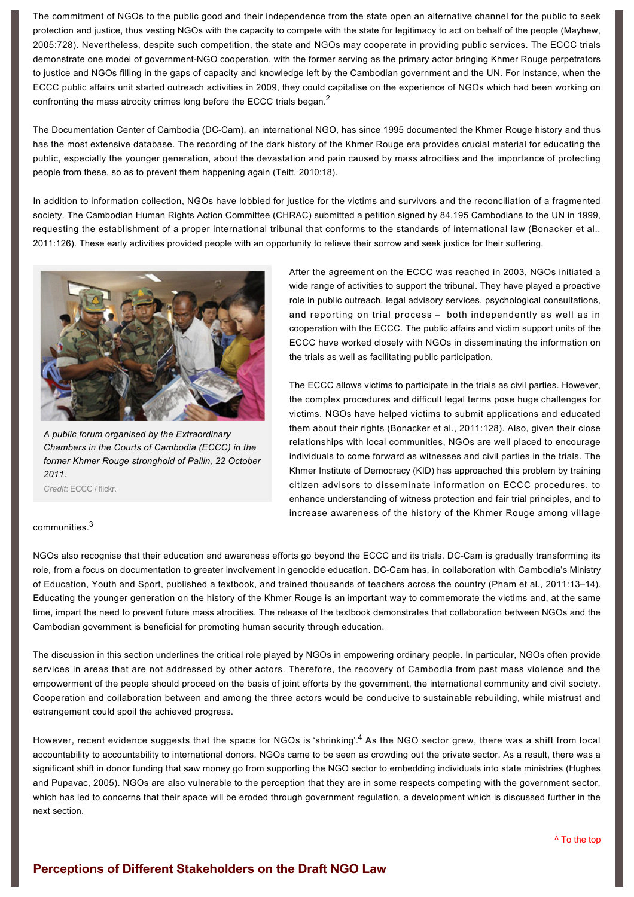The commitment of NGOs to the public good and their independence from the state open an alternative channel for the public to seek protection and justice, thus vesting NGOs with the capacity to compete with the state for legitimacy to act on behalf of the people (Mayhew, 2005:728). Nevertheless, despite such competition, the state and NGOs may cooperate in providing public services. The ECCC trials demonstrate one model of government-NGO cooperation, with the former serving as the primary actor bringing Khmer Rouge perpetrators to justice and NGOs filling in the gaps of capacity and knowledge left by the Cambodian government and the UN. For instance, when the ECCC public affairs unit started outreach activities in 2009, they could capitalise on the experience of NGOs which had been working on confronting the mass atrocity crimes long before the ECCC trials began.<sup>[2](http://www.rsis.edu.sg/nts/html-newsletter/alert/nts-alert-oct-1102.html#ftn2)</sup>

The Documentation Center of Cambodia (DC-Cam), an international NGO, has since 1995 documented the Khmer Rouge history and thus has the most extensive database. The recording of the dark history of the Khmer Rouge era provides crucial material for educating the public, especially the younger generation, about the devastation and pain caused by mass atrocities and the importance of protecting people from these, so as to prevent them happening again (Teitt, 2010:18).

In addition to information collection, NGOs have lobbied for justice for the victims and survivors and the reconciliation of a fragmented society. The Cambodian Human Rights Action Committee (CHRAC) submitted a petition signed by 84,195 Cambodians to the UN in 1999, requesting the establishment of a proper international tribunal that conforms to the standards of international law (Bonacker et al., 2011:126). These early activities provided people with an opportunity to relieve their sorrow and seek justice for their suffering.



*A public forum organised by the Extraordinary Chambers in the Courts of Cambodia (ECCC) in the former Khmer Rouge stronghold of Pailin, 22 October 2011.*

*Credit*: ECCC / flickr.

### communities. [3](http://www.rsis.edu.sg/nts/html-newsletter/alert/nts-alert-oct-1102.html#ftn3)

After the agreement on the ECCC was reached in 2003, NGOs initiated a wide range of activities to support the tribunal. They have played a proactive role in public outreach, legal advisory services, psychological consultations, and reporting on trial process – both independently as well as in cooperation with the ECCC. The public affairs and victim support units of the ECCC have worked closely with NGOs in disseminating the information on the trials as well as facilitating public participation.

The ECCC allows victims to participate in the trials as civil parties. However, the complex procedures and difficult legal terms pose huge challenges for victims. NGOs have helped victims to submit applications and educated them about their rights (Bonacker et al., 2011:128). Also, given their close relationships with local communities, NGOs are well placed to encourage individuals to come forward as witnesses and civil parties in the trials. The Khmer Institute of Democracy (KID) has approached this problem by training citizen advisors to disseminate information on ECCC procedures, to enhance understanding of witness protection and fair trial principles, and to increase awareness of the history of the Khmer Rouge among village

NGOs also recognise that their education and awareness efforts go beyond the ECCC and its trials. DC-Cam is gradually transforming its role, from a focus on documentation to greater involvement in genocide education. DC-Cam has, in collaboration with Cambodia's Ministry of Education, Youth and Sport, published a textbook, and trained thousands of teachers across the country (Pham et al., 2011:13–14). Educating the younger generation on the history of the Khmer Rouge is an important way to commemorate the victims and, at the same time, impart the need to prevent future mass atrocities. The release of the textbook demonstrates that collaboration between NGOs and the Cambodian government is beneficial for promoting human security through education.

The discussion in this section underlines the critical role played by NGOs in empowering ordinary people. In particular, NGOs often provide services in areas that are not addressed by other actors. Therefore, the recovery of Cambodia from past mass violence and the empowerment of the people should proceed on the basis of joint efforts by the government, the international community and civil society. Cooperation and collaboration between and among the three actors would be conducive to sustainable rebuilding, while mistrust and estrangement could spoil the achieved progress.

However, recent evidence suggests that the space for NGOs is 'shrinking'.<sup>[4](http://www.rsis.edu.sg/nts/html-newsletter/alert/nts-alert-oct-1102.html#ftn4)</sup> As the NGO sector grew, there was a shift from local accountability to accountability to international donors. NGOs came to be seen as crowding out the private sector. As a result, there was a significant shift in donor funding that saw money go from supporting the NGO sector to embedding individuals into state ministries (Hughes and Pupavac, 2005). NGOs are also vulnerable to the perception that they are in some respects competing with the government sector, which has led to concerns that their space will be eroded through government regulation, a development which is discussed further in the next section.

# **Perceptions of Different Stakeholders on the Draft NGO Law**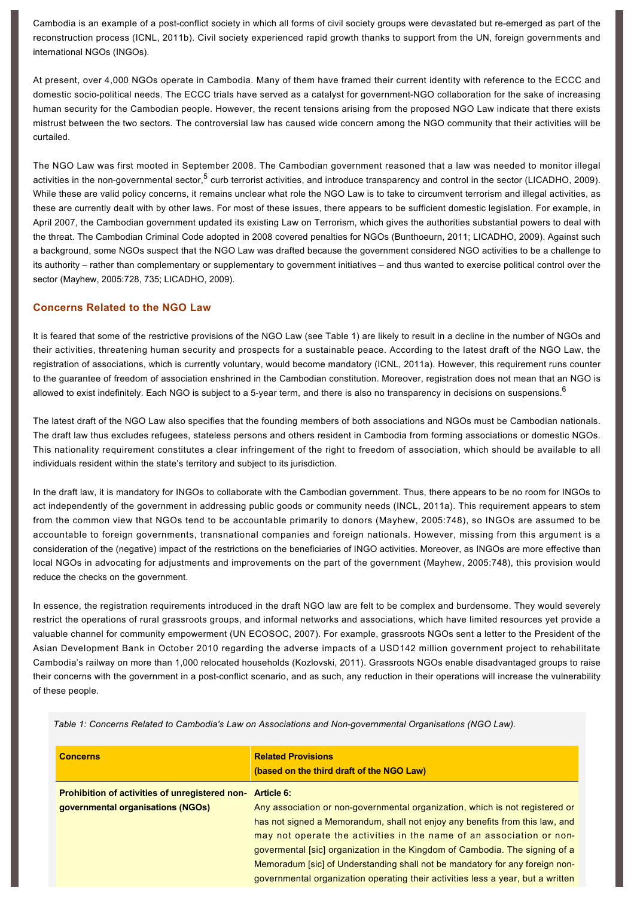Cambodia is an example of a post-conflict society in which all forms of civil society groups were devastated but re-emerged as part of the reconstruction process (ICNL, 2011b). Civil society experienced rapid growth thanks to support from the UN, foreign governments and international NGOs (INGOs).

At present, over 4,000 NGOs operate in Cambodia. Many of them have framed their current identity with reference to the ECCC and domestic socio-political needs. The ECCC trials have served as a catalyst for government-NGO collaboration for the sake of increasing human security for the Cambodian people. However, the recent tensions arising from the proposed NGO Law indicate that there exists mistrust between the two sectors. The controversial law has caused wide concern among the NGO community that their activities will be curtailed.

The NGO Law was first mooted in September 2008. The Cambodian government reasoned that a law was needed to monitor illegal activities in the non-governmental sector,<sup>[5](http://www.rsis.edu.sg/nts/html-newsletter/alert/nts-alert-oct-1102.html#ftn5)</sup> curb terrorist activities, and introduce transparency and control in the sector (LICADHO, 2009). While these are valid policy concerns, it remains unclear what role the NGO Law is to take to circumvent terrorism and illegal activities, as these are currently dealt with by other laws. For most of these issues, there appears to be sufficient domestic legislation. For example, in April 2007, the Cambodian government updated its existing Law on Terrorism, which gives the authorities substantial powers to deal with the threat. The Cambodian Criminal Code adopted in 2008 covered penalties for NGOs (Bunthoeurn, 2011; LICADHO, 2009). Against such a background, some NGOs suspect that the NGO Law was drafted because the government considered NGO activities to be a challenge to its authority – rather than complementary or supplementary to government initiatives – and thus wanted to exercise political control over the sector (Mayhew, 2005:728, 735; LICADHO, 2009).

### **Concerns Related to the NGO Law**

It is feared that some of the restrictive provisions of the NGO Law (see Table 1) are likely to result in a decline in the number of NGOs and their activities, threatening human security and prospects for a sustainable peace. According to the latest draft of the NGO Law, the registration of associations, which is currently voluntary, would become mandatory (ICNL, 2011a). However, this requirement runs counter to the guarantee of freedom of association enshrined in the Cambodian constitution. Moreover, registration does not mean that an NGO is allowed to exist indefinitely. Each NGO is subject to a 5-year term, and there is also no transparency in decisions on suspensions.  $^6$  $^6$ 

The latest draft of the NGO Law also specifies that the founding members of both associations and NGOs must be Cambodian nationals. The draft law thus excludes refugees, stateless persons and others resident in Cambodia from forming associations or domestic NGOs. This nationality requirement constitutes a clear infringement of the right to freedom of association, which should be available to all individuals resident within the state's territory and subject to its jurisdiction.

In the draft law, it is mandatory for INGOs to collaborate with the Cambodian government. Thus, there appears to be no room for INGOs to act independently of the government in addressing public goods or community needs (INCL, 2011a). This requirement appears to stem from the common view that NGOs tend to be accountable primarily to donors (Mayhew, 2005:748), so INGOs are assumed to be accountable to foreign governments, transnational companies and foreign nationals. However, missing from this argument is a consideration of the (negative) impact of the restrictions on the beneficiaries of INGO activities. Moreover, as INGOs are more effective than local NGOs in advocating for adjustments and improvements on the part of the government (Mayhew, 2005:748), this provision would reduce the checks on the government.

In essence, the registration requirements introduced in the draft NGO law are felt to be complex and burdensome. They would severely restrict the operations of rural grassroots groups, and informal networks and associations, which have limited resources yet provide a valuable channel for community empowerment (UN ECOSOC, 2007). For example, grassroots NGOs sent a letter to the President of the Asian Development Bank in October 2010 regarding the adverse impacts of a USD142 million government project to rehabilitate Cambodia's railway on more than 1,000 relocated households (Kozlovski, 2011). Grassroots NGOs enable disadvantaged groups to raise their concerns with the government in a post-conflict scenario, and as such, any reduction in their operations will increase the vulnerability of these people.

*Table 1: Concerns Related to Cambodia's Law on Associations and Nongovernmental Organisations (NGO Law).*

| <b>Concerns</b>                                       | <b>Related Provisions</b><br>(based on the third draft of the NGO Law)          |
|-------------------------------------------------------|---------------------------------------------------------------------------------|
| <b>Prohibition of activities of unregistered non-</b> | <b>Article 6:</b>                                                               |
| governmental organisations (NGOs)                     | Any association or non-governmental organization, which is not registered or    |
|                                                       | has not signed a Memorandum, shall not enjoy any benefits from this law, and    |
|                                                       | may not operate the activities in the name of an association or non-            |
|                                                       | govermental [sic] organization in the Kingdom of Cambodia. The signing of a     |
|                                                       | Memoradum [sic] of Understanding shall not be mandatory for any foreign non-    |
|                                                       | governmental organization operating their activities less a year, but a written |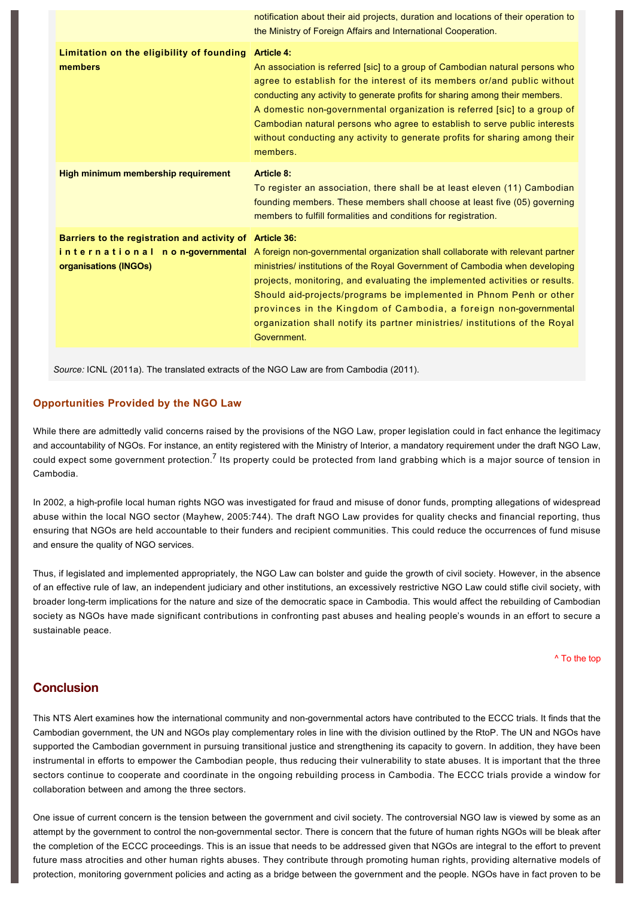|                                                                       | notification about their aid projects, duration and locations of their operation to<br>the Ministry of Foreign Affairs and International Cooperation.                                                                                                                                                                                                                                                                                                                                                                                        |
|-----------------------------------------------------------------------|----------------------------------------------------------------------------------------------------------------------------------------------------------------------------------------------------------------------------------------------------------------------------------------------------------------------------------------------------------------------------------------------------------------------------------------------------------------------------------------------------------------------------------------------|
| Limitation on the eligibility of founding<br>members                  | <b>Article 4:</b><br>An association is referred [sic] to a group of Cambodian natural persons who<br>agree to establish for the interest of its members or/and public without<br>conducting any activity to generate profits for sharing among their members.<br>A domestic non-governmental organization is referred [sic] to a group of<br>Cambodian natural persons who agree to establish to serve public interests<br>without conducting any activity to generate profits for sharing among their<br>members.                           |
| <b>High minimum membership requirement</b>                            | <b>Article 8:</b><br>To register an association, there shall be at least eleven (11) Cambodian<br>founding members. These members shall choose at least five (05) governing<br>members to fulfill formalities and conditions for registration.                                                                                                                                                                                                                                                                                               |
| Barriers to the registration and activity of<br>organisations (INGOs) | <b>Article 36:</b><br>in ternational non-governmental A foreign non-governmental organization shall collaborate with relevant partner<br>ministries/ institutions of the Royal Government of Cambodia when developing<br>projects, monitoring, and evaluating the implemented activities or results.<br>Should aid-projects/programs be implemented in Phnom Penh or other<br>provinces in the Kingdom of Cambodia, a foreign non-governmental<br>organization shall notify its partner ministries/ institutions of the Royal<br>Government. |

*Source:* ICNL (2011a). The translated extracts of the NGO Law are from Cambodia (2011).

#### **Opportunities Provided by the NGO Law**

While there are admittedly valid concerns raised by the provisions of the NGO Law, proper legislation could in fact enhance the legitimacy and accountability of NGOs. For instance, an entity registered with the Ministry of Interior, a mandatory requirement under the draft NGO Law, could expect some government protection.<sup>[7](http://www.rsis.edu.sg/nts/html-newsletter/alert/nts-alert-oct-1102.html#ftn7)</sup> Its property could be protected from land grabbing which is a major source of tension in Cambodia.

In 2002, a high-profile local human rights NGO was investigated for fraud and misuse of donor funds, prompting allegations of widespread abuse within the local NGO sector (Mayhew, 2005:744). The draft NGO Law provides for quality checks and financial reporting, thus ensuring that NGOs are held accountable to their funders and recipient communities. This could reduce the occurrences of fund misuse and ensure the quality of NGO services.

Thus, if legislated and implemented appropriately, the NGO Law can bolster and guide the growth of civil society. However, in the absence of an effective rule of law, an independent judiciary and other institutions, an excessively restrictive NGO Law could stifle civil society, with broader long-term implications for the nature and size of the democratic space in Cambodia. This would affect the rebuilding of Cambodian society as NGOs have made significant contributions in confronting past abuses and healing people's wounds in an effort to secure a sustainable peace.

[^ To the top](#page-0-0)

### **Conclusion**

This NTS Alert examines how the international community and non-governmental actors have contributed to the ECCC trials. It finds that the Cambodian government, the UN and NGOs play complementary roles in line with the division outlined by the RtoP. The UN and NGOs have supported the Cambodian government in pursuing transitional justice and strengthening its capacity to govern. In addition, they have been instrumental in efforts to empower the Cambodian people, thus reducing their vulnerability to state abuses. It is important that the three sectors continue to cooperate and coordinate in the ongoing rebuilding process in Cambodia. The ECCC trials provide a window for collaboration between and among the three sectors.

One issue of current concern is the tension between the government and civil society. The controversial NGO law is viewed by some as an attempt by the government to control the nongovernmental sector. There is concern that the future of human rights NGOs will be bleak after the completion of the ECCC proceedings. This is an issue that needs to be addressed given that NGOs are integral to the effort to prevent future mass atrocities and other human rights abuses. They contribute through promoting human rights, providing alternative models of protection, monitoring government policies and acting as a bridge between the government and the people. NGOs have in fact proven to be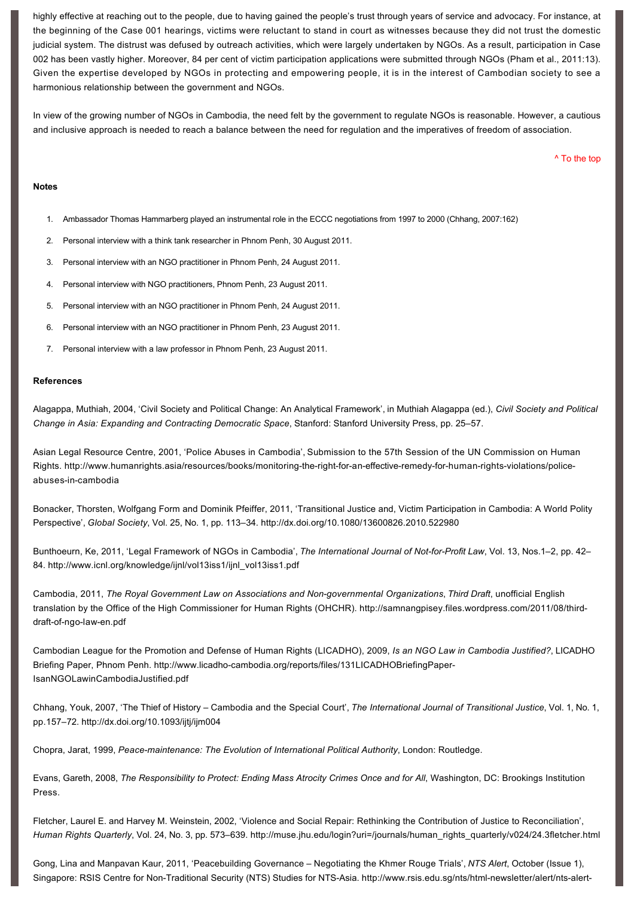highly effective at reaching out to the people, due to having gained the people's trust through years of service and advocacy. For instance, at the beginning of the Case 001 hearings, victims were reluctant to stand in court as witnesses because they did not trust the domestic judicial system. The distrust was defused by outreach activities, which were largely undertaken by NGOs. As a result, participation in Case 002 has been vastly higher. Moreover, 84 per cent of victim participation applications were submitted through NGOs (Pham et al., 2011:13). Given the expertise developed by NGOs in protecting and empowering people, it is in the interest of Cambodian society to see a harmonious relationship between the government and NGOs.

In view of the growing number of NGOs in Cambodia, the need felt by the government to regulate NGOs is reasonable. However, a cautious and inclusive approach is needed to reach a balance between the need for regulation and the imperatives of freedom of association.

[^ To the top](#page-0-0)

#### **Notes**

- 1. Ambassador Thomas Hammarberg played an instrumental role in the ECCC negotiations from 1997 to 2000 (Chhang, 2007:162)
- 2. Personal interview with a think tank researcher in Phnom Penh, 30 August 2011.
- 3. Personal interview with an NGO practitioner in Phnom Penh, 24 August 2011.
- 4. Personal interview with NGO practitioners, Phnom Penh, 23 August 2011.
- 5. Personal interview with an NGO practitioner in Phnom Penh, 24 August 2011.
- 6. Personal interview with an NGO practitioner in Phnom Penh, 23 August 2011.
- 7. Personal interview with a law professor in Phnom Penh, 23 August 2011.

#### **References**

Alagappa, Muthiah, 2004, 'Civil Society and Political Change: An Analytical Framework', in Muthiah Alagappa (ed.), *Civil Society and Political Change in Asia: Expanding and Contracting Democratic Space*, Stanford: Stanford University Press, pp. 25–57.

Asian Legal Resource Centre, 2001, 'Police Abuses in Cambodia', Submission to the 57th Session of the UN Commission on Human Rights. http://www.humanrights.asia/resources/books/monitoring-the-right-for-an-effective-remedy-for-human-rights-violations/policeabuses-in-cambodia

Bonacker, Thorsten, Wolfgang Form and Dominik Pfeiffer, 2011, 'Transitional Justice and, Victim Participation in Cambodia: A World Polity Perspective', *Global Society*, Vol. 25, No. 1, pp. 113–34. <http://dx.doi.org/10.1080/13600826.2010.522980>

Bunthoeurn, Ke, 2011, 'Legal Framework of NGOs in Cambodia', *The International Journal of NotforProfit Law*, Vol. 13, Nos.1–2, pp. 42– 84. [http://www.icnl.org/knowledge/ijnl/vol13iss1/ijnl\\_vol13iss1.pdf](http://www.icnl.org/knowledge/ijnl/vol13iss1/ijnl_vol13iss1.pdf)

Cambodia, 2011, *The Royal Government Law on Associations and Nongovernmental Organizations*, *Third Draft*, unofficial English [translation by the Office of the High Commissioner for Human Rights \(OHCHR\). http://samnangpisey.files.wordpress.com/2011/08/third](http://samnangpisey.files.wordpress.com/2011/08/third-draft-of-ngo-law-en.pdf)draft-of-ngo-law-en.pdf

Cambodian League for the Promotion and Defense of Human Rights (LICADHO), 2009, *Is an NGO Law in Cambodia Justified?*, LICADHO Briefing Paper, Phnom Penh. http://www.licadho-cambodia.org/reports/files/131LICADHOBriefingPaper-IsanNGOLawinCambodiaJustified.pdf

Chhang, Youk, 2007, 'The Thief of History – Cambodia and the Special Court', *The International Journal of Transitional Justice*, Vol. 1, No. 1, pp.157–72. <http://dx.doi.org/10.1093/ijtj/ijm004>

Chopra, Jarat, 1999, Peace-maintenance: The Evolution of International Political Authority, London: Routledge.

Evans, Gareth, 2008, *The Responsibility to Protect: Ending Mass Atrocity Crimes Once and for All*, Washington, DC: Brookings Institution Press.

Fletcher, Laurel E. and Harvey M. Weinstein, 2002, 'Violence and Social Repair: Rethinking the Contribution of Justice to Reconciliation', *Human Rights Quarterly*, Vol. 24, No. 3, pp. 573–639. [http://muse.jhu.edu/login?uri=/journals/human\\_rights\\_quarterly/v024/24.3fletcher.html](http://muse.jhu.edu/login?uri=/journals/human_rights_quarterly/v024/24.3fletcher.html)

Gong, Lina and Manpavan Kaur, 2011, 'Peacebuilding Governance – Negotiating the Khmer Rouge Trials', *NTS Alert*, October (Issue 1), Singapore: RSIS Centre for Non-Traditional Security (NTS) Studies for NTS-Asia. http://www.rsis.edu.sg/nts/html-newsletter/alert/nts-alert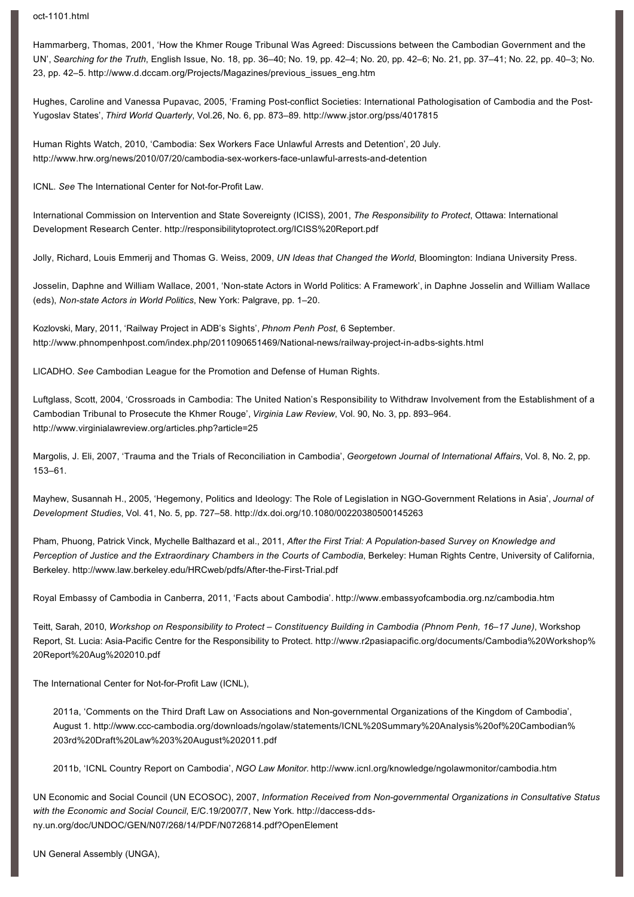oct-1101.html

Hammarberg, Thomas, 2001, 'How the Khmer Rouge Tribunal Was Agreed: Discussions between the Cambodian Government and the UN', *Searching for the Truth*, English Issue, No. 18, pp. 36–40; No. 19, pp. 42–4; No. 20, pp. 42–6; No. 21, pp. 37–41; No. 22, pp. 40–3; No. 23, pp. 42–5. [http://www.d.dccam.org/Projects/Magazines/previous\\_issues\\_eng.htm](http://www.d.dccam.org/Projects/Magazines/previous_issues_eng.htm)

Hughes, Caroline and Vanessa Pupavac, 2005, 'Framing Post-conflict Societies: International Pathologisation of Cambodia and the Post-Yugoslav States', *Third World Quarterly*, Vol.26, No. 6, pp. 873–89. <http://www.jstor.org/pss/4017815>

Human Rights Watch, 2010, 'Cambodia: Sex Workers Face Unlawful Arrests and Detention', 20 July. http://www.hrw.org/news/2010/07/20/cambodia-sex-workers-face-unlawful-arrests-and-detention

ICNL. See The International Center for Not-for-Profit Law.

International Commission on Intervention and State Sovereignty (ICISS), 2001, *The Responsibility to Protect*, Ottawa: International Development Research Center.<http://responsibilitytoprotect.org/ICISS%20Report.pdf>

Jolly, Richard, Louis Emmerij and Thomas G. Weiss, 2009, *UN Ideas that Changed the World*, Bloomington: Indiana University Press.

Josselin, Daphne and William Wallace, 2001, 'Non-state Actors in World Politics: A Framework', in Daphne Josselin and William Wallace (eds), *Non-state Actors in World Politics*, New York: Palgrave, pp. 1-20.

Kozlovski, Mary, 2011, 'Railway Project in ADB's Sights', *Phnom Penh Post*, 6 September. http://www.phnompenhpost.com/index.php/2011090651469/National-news/railway-project-in-adbs-sights.html

LICADHO. *See* Cambodian League for the Promotion and Defense of Human Rights.

Luftglass, Scott, 2004, 'Crossroads in Cambodia: The United Nation's Responsibility to Withdraw Involvement from the Establishment of a Cambodian Tribunal to Prosecute the Khmer Rouge', *Virginia Law Review*, Vol. 90, No. 3, pp. 893–964. <http://www.virginialawreview.org/articles.php?article=25>

Margolis, J. Eli, 2007, 'Trauma and the Trials of Reconciliation in Cambodia', *Georgetown Journal of International Affairs*, Vol. 8, No. 2, pp. 153–61.

Mayhew, Susannah H., 2005, 'Hegemony, Politics and Ideology: The Role of Legislation in NGOGovernment Relations in Asia', *Journal of Development Studies*, Vol. 41, No. 5, pp. 727–58.<http://dx.doi.org/10.1080/00220380500145263>

Pham, Phuong, Patrick Vinck, Mychelle Balthazard et al., 2011, After the First Trial: A Population-based Survey on Knowledge and Perception of Justice and the Extraordinary Chambers in the Courts of Cambodia, Berkeley: Human Rights Centre, University of California, Berkeley. http://www.law.berkeley.edu/HRCweb/pdfs/After-the-First-Trial.pdf

Royal Embassy of Cambodia in Canberra, 2011, 'Facts about Cambodia'.<http://www.embassyofcambodia.org.nz/cambodia.htm>

Teitt, Sarah, 2010, *Workshop on Responsibility to Protect – Constituency Building in Cambodia (Phnom Penh, 16–17 June)*, Workshop Report, St. Lucia: Asia-Pacific Centre for the Responsibility to Protect. http://www.r2pasiapacific.org/documents/Cambodia%20Workshop% 20Report%20Aug%202010.pdf

The International Center for Not-for-Profit Law (ICNL),

2011a, 'Comments on the Third Draft Law on Associations and Nongovernmental Organizations of the Kingdom of Cambodia', [August 1. http://www.ccccambodia.org/downloads/ngolaw/statements/ICNL%20Summary%20Analysis%20of%20Cambodian%](http://www.ccc-cambodia.org/downloads/ngolaw/statements/ICNL%20Summary%20Analysis%20of%20Cambodian%203rd%20Draft%20Law%203%20August%202011.pdf) 203rd%20Draft%20Law%203%20August%202011.pdf

2011b, 'ICNL Country Report on Cambodia', *NGO Law Monitor*. <http://www.icnl.org/knowledge/ngolawmonitor/cambodia.htm>

UN Economic and Social Council (UN ECOSOC), 2007, *Information Received from Nongovernmental Organizations in Consultative Status*  with the Economic and Social Council, E/C.19/2007/7, New York. http://daccess-dds[ny.un.org/doc/UNDOC/GEN/N07/268/14/PDF/N0726814.pdf?OpenElement](http://daccess-dds-ny.un.org/doc/UNDOC/GEN/N07/268/14/PDF/N0726814.pdf?OpenElement)

UN General Assembly (UNGA),